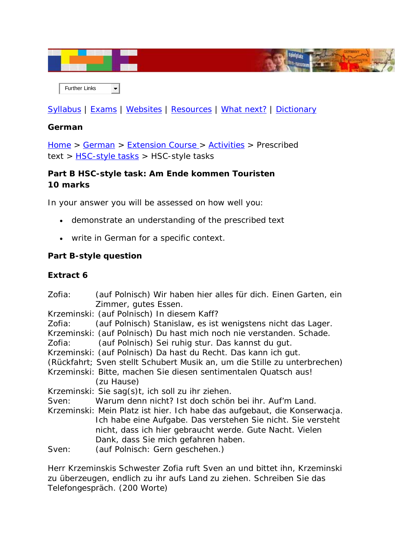

 Further Links  $\blacksquare$ 

[Syllabus](http://www.boardofstudies.nsw.edu.au/syllabus_hsc/) | [Exams](http://www.boardofstudies.nsw.edu.au/hsc_exams/) | [Websites](http://www.hsc.csu.edu.au/german/websites/4262/german_websites.htm) | [Resources](http://www.hsc.csu.edu.au/german/resources/2367/index.htm) | [What next?](http://www.hsc.csu.edu.au/german/what_next/2369/index.html) | [Dictionary](http://www.hsc.csu.edu.au/german/dictionary/2370/index.htm)

## **German**

[Home](http://www.hsc.csu.edu.au/) > [German](http://www.hsc.csu.edu.au/german/) > [Extension Course](http://www.hsc.csu.edu.au/german/#112077) > [Activities](http://www.hsc.csu.edu.au/german/#112080) > Prescribed text > [HSC-style tasks](http://www.hsc.csu.edu.au/german/extension/activities/prescribed/tasks/) > HSC-style tasks

# **Part B HSC-style task:** *Am Ende kommen Touristen* **10 marks**

In your answer you will be assessed on how well you:

- demonstrate an understanding of the prescribed text
- write in German for a specific context.

#### **Part B-style question**

## **Extract 6**

| Zofia: | (auf Polnisch) Wir haben hier alles für dich. Einen Garten, ein<br>Zimmer, gutes Essen.                                  |
|--------|--------------------------------------------------------------------------------------------------------------------------|
|        | Krzeminski: (auf Polnisch) In diesem Kaff?                                                                               |
| Zofia: | (auf Polnisch) Stanislaw, es ist wenigstens nicht das Lager.                                                             |
|        | Krzeminski: (auf Polnisch) Du hast mich noch nie verstanden. Schade.                                                     |
| Zofia: | (auf Polnisch) Sei ruhig stur. Das kannst du gut.                                                                        |
|        | Krzeminski: (auf Polnisch) Da hast du Recht. Das kann ich gut.                                                           |
|        | (Rückfahrt; Sven stellt Schubert Musik an, um die Stille zu unterbrechen)                                                |
|        | Krzeminski: Bitte, machen Sie diesen sentimentalen Quatsch aus!                                                          |
|        | (zu Hause)                                                                                                               |
|        | Krzeminski: Sie sag(s)t, ich soll zu ihr ziehen.                                                                         |
| Sven:  | Warum denn nicht? Ist doch schön bei ihr. Auf'm Land.                                                                    |
|        | Krzeminski: Mein Platz ist hier. Ich habe das aufgebaut, die Konserwacja.                                                |
|        | Ich habe eine Aufgabe. Das verstehen Sie nicht. Sie versteht<br>nicht, dass ich hier gebraucht werde. Gute Nacht. Vielen |
|        | Dank, dass Sie mich gefahren haben.                                                                                      |
| Sven:  | (auf Polnisch: Gern geschehen.)                                                                                          |
|        |                                                                                                                          |

*Herr Krzeminskis Schwester Zofia ruft Sven an und bittet ihn, Krzeminski zu überzeugen, endlich zu ihr aufs Land zu ziehen. Schreiben Sie das Telefongespräch. (200 Worte)*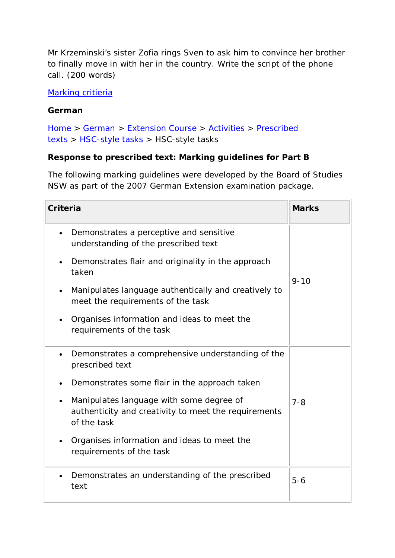Mr Krzeminski's sister Zofia rings Sven to ask him to convince her brother to finally move in with her in the country. Write the script of the phone call. (200 words)

#### [Marking critieria](http://www.hsc.csu.edu.au/german/extension/activities/prescribed/tasks/3746/part_B_answers.htm)

## **German**

[Home](http://www.hsc.csu.edu.au/) > [German](http://www.hsc.csu.edu.au/german/) > [Extension Course](http://www.hsc.csu.edu.au/german/#112077) > [Activities](http://www.hsc.csu.edu.au/german/#112080) > [Prescribed](http://www.hsc.csu.edu.au/german/#112088)  [texts](http://www.hsc.csu.edu.au/german/#112088) > [HSC-style tasks](http://www.hsc.csu.edu.au/german/extension/activities/prescribed/tasks/) > HSC-style tasks

## **Response to prescribed text: Marking guidelines for Part B**

The following marking guidelines were developed by the Board of Studies NSW as part of the 2007 German Extension examination package.

| Criteria                                                                                                        | <b>Marks</b> |
|-----------------------------------------------------------------------------------------------------------------|--------------|
| Demonstrates a perceptive and sensitive<br>understanding of the prescribed text                                 |              |
| Demonstrates flair and originality in the approach<br>taken                                                     |              |
| Manipulates language authentically and creatively to<br>meet the requirements of the task                       | $9 - 10$     |
| Organises information and ideas to meet the<br>requirements of the task                                         |              |
| Demonstrates a comprehensive understanding of the<br>prescribed text                                            |              |
| Demonstrates some flair in the approach taken                                                                   |              |
| Manipulates language with some degree of<br>authenticity and creativity to meet the requirements<br>of the task | $7 - 8$      |
| Organises information and ideas to meet the<br>requirements of the task                                         |              |
| Demonstrates an understanding of the prescribed<br>text                                                         | $5 - 6$      |